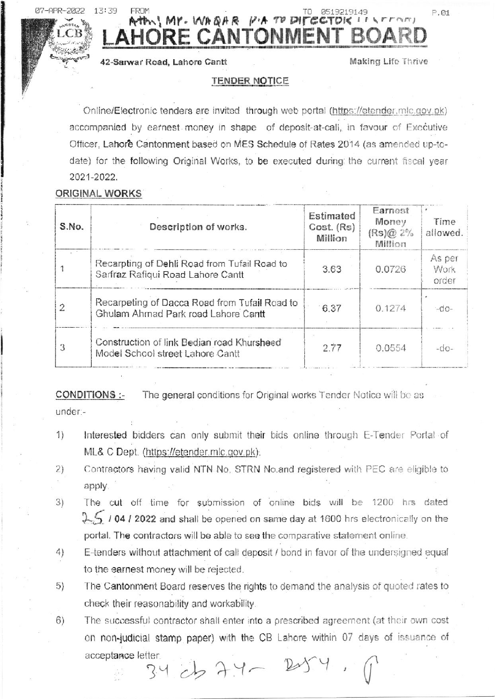$APR - 2022$ 

13:39

# Att Mr. WARAR PATO DITEC E CANTONMEN

42-Sarwar Road, Lahore Cantt

Making Life Thrive

P.01

#### TENDER NOTICE

Online/Electronic tenders are invited through web portal (https://etender.mlc.gov.pk) accompanied by earnest money in shape of deposit-at-call, in favour of Executive Officer, Lahore Cantonment based on MES Schedule of Rates 2014 (as amended up-todate) for the following Original Works, to be executed during the current fiscal year 2021-2022.

## ORIGINAL WORKS

| S.No. | Description of works.                                                                | Estimated<br>Cost. (Rs)<br>Million | Earnest<br>Money<br>$(Rs)@2\%$<br>Million | Time<br>allowed.        |
|-------|--------------------------------------------------------------------------------------|------------------------------------|-------------------------------------------|-------------------------|
|       | Recarpting of Dehli Road from Tufail Road to<br>Sarfraz Rafiqui Road Lahore Cantt    | 3.63                               | 0.0726                                    | As per<br>Work<br>order |
|       | Recarpeting of Dacca Road from Tufail Road to<br>Ghulam Ahmad Park road Lahore Cantt | 6.37                               | 0.1274                                    | $-do-$                  |
|       | Construction of link Bedian road Khursheed<br>Model School street Lahore Cantt       | 2.77                               | 0.0554                                    | $-00-$                  |

CONDITIONS :-The general conditions for Original works Tender Notice will be as under:-

- Interested bidders can only submit their bids online through E-Tender Portal of  $1)$ ML& C Dept. (https://etender.mlc.gov.pk),
- Contractors having valid NTN No. STRN No.and registered with PEC are eligible to  $2)$ apply.
- The cut off time for submission of online bids will be 1200 hrs dated  $3)$  $25$  / 04 / 2022 and shall be opened on same day at 1600 hrs electronically on the portal. The contractors will be able to see the comparative statement online.
- 4) E-tenders without attachment of call deposit / bond in favor of the undersigned equal to the earnest money will be rejected.
- The Cantonment Board reserves the rights to demand the analysis of quoted rates to 5) check their reasonability and workability.
- The successful contractor shall enter into a prescribed agreement (at their own cost  $6)$ on non-judicial stamp paper) with the CB Lahore within 07 days of issuance of acceptance letter.  $34$  cb  $7.4 - 20$